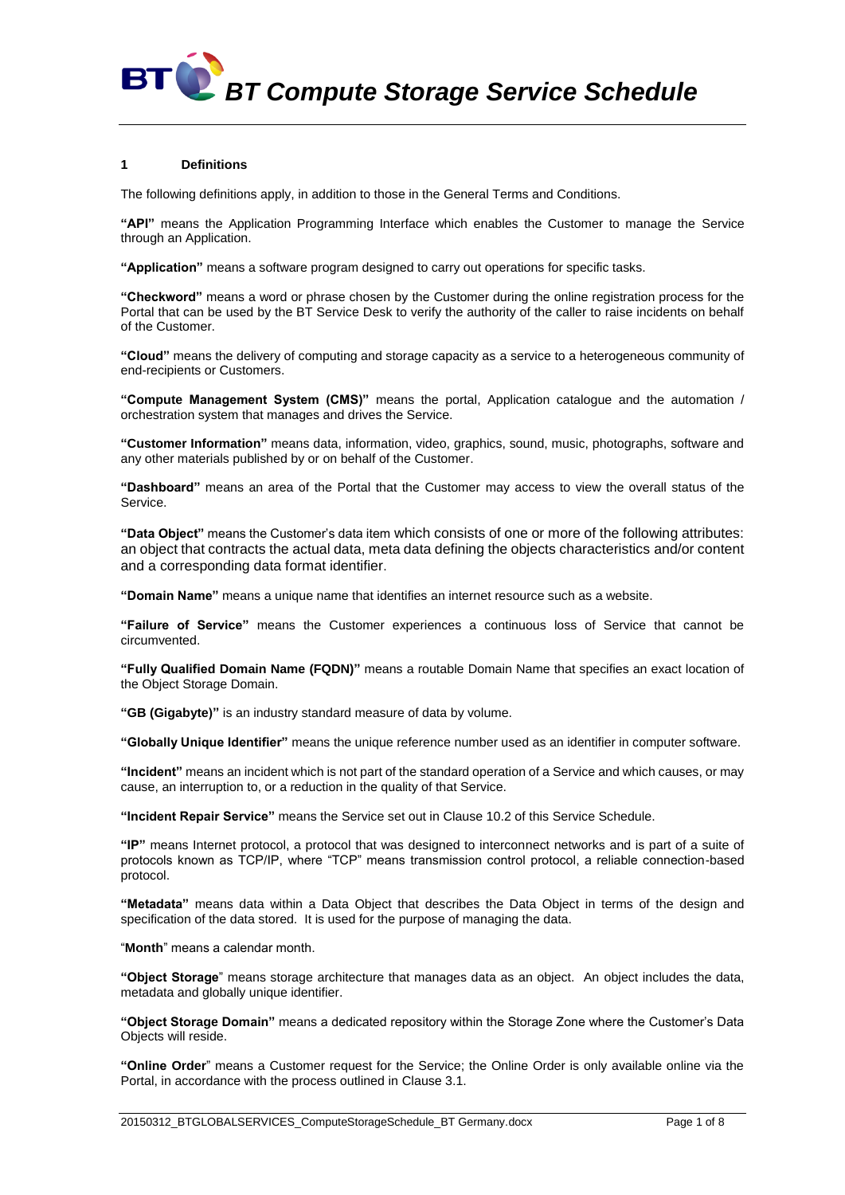*BT Compute Storage Service Schedule*

### **1 Definitions**

The following definitions apply, in addition to those in the General Terms and Conditions.

**"API"** means the Application Programming Interface which enables the Customer to manage the Service through an Application.

**"Application"** means a software program designed to carry out operations for specific tasks.

**"Checkword"** means a word or phrase chosen by the Customer during the online registration process for the Portal that can be used by the BT Service Desk to verify the authority of the caller to raise incidents on behalf of the Customer.

**"Cloud"** means the delivery of computing and storage capacity as a service to a heterogeneous community of end-recipients or Customers.

**"Compute Management System (CMS)"** means the portal, Application catalogue and the automation / orchestration system that manages and drives the Service.

**"Customer Information"** means data, information, video, graphics, sound, music, photographs, software and any other materials published by or on behalf of the Customer.

**"Dashboard"** means an area of the Portal that the Customer may access to view the overall status of the Service.

**"Data Object"** means the Customer's data item which consists of one or more of the following attributes: an object that contracts the actual data, meta data defining the objects characteristics and/or content and a corresponding data format identifier.

**"Domain Name"** means a unique name that identifies an internet resource such as a website.

**"Failure of Service"** means the Customer experiences a continuous loss of Service that cannot be circumvented.

**"Fully Qualified Domain Name (FQDN)"** means a routable Domain Name that specifies an exact location of the Object Storage Domain.

**"GB (Gigabyte)"** is an industry standard measure of data by volume.

**"Globally Unique Identifier"** means the unique reference number used as an identifier in computer software.

**"Incident"** means an incident which is not part of the standard operation of a Service and which causes, or may cause, an interruption to, or a reduction in the quality of that Service.

**"Incident Repair Service"** means the Service set out in Clause [10.2](#page-3-0) of this Service Schedule.

**"IP"** means Internet protocol, a protocol that was designed to interconnect networks and is part of a suite of protocols known as TCP/IP, where "TCP" means transmission control protocol, a reliable connection-based protocol.

**"Metadata"** means data within a Data Object that describes the Data Object in terms of the design and specification of the data stored. It is used for the purpose of managing the data.

"**Month**" means a calendar month.

**"Object Storage**" means storage architecture that manages data as an object. An object includes the data, metadata and globally unique identifier.

**"Object Storage Domain"** means a dedicated repository within the Storage Zone where the Customer's Data Objects will reside.

**"Online Order**" means a Customer request for the Service; the Online Order is only available online via the Portal, in accordance with the process outlined in Claus[e 3.1.](#page-1-0)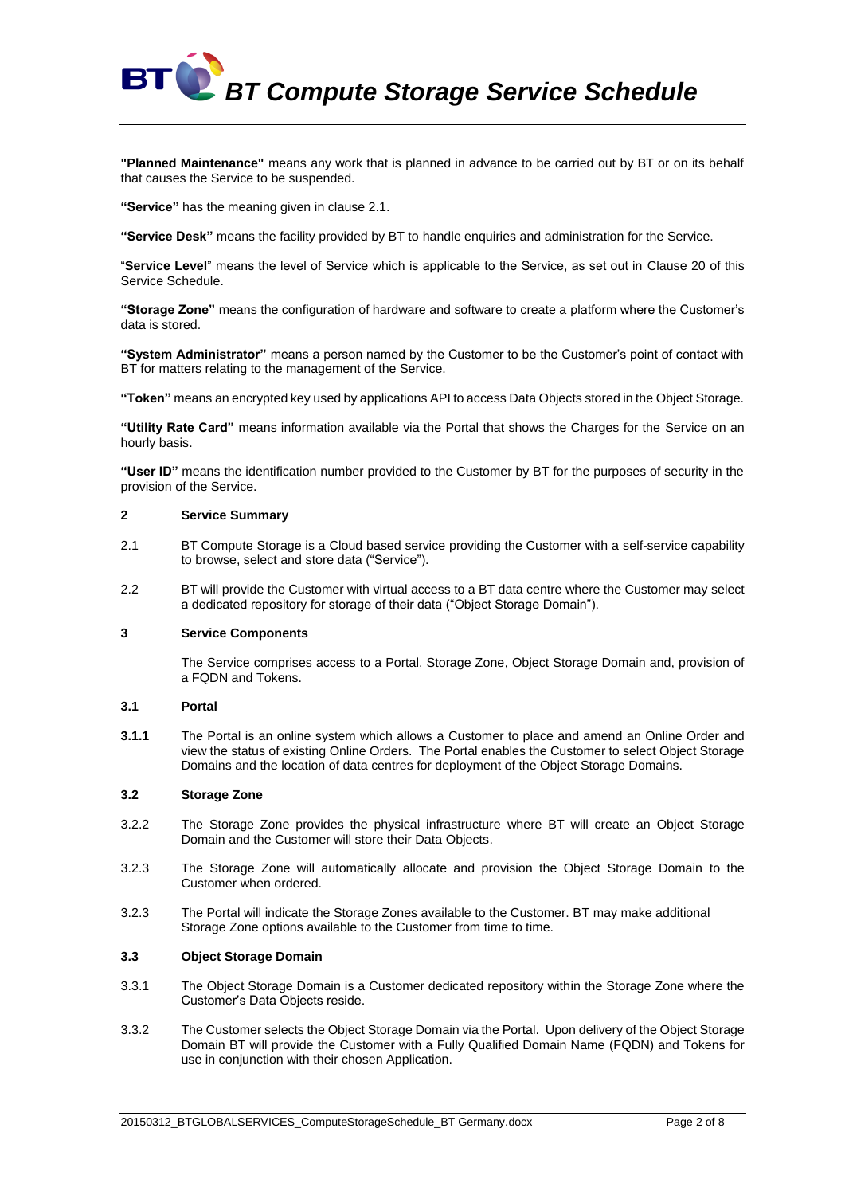

**"Planned Maintenance"** means any work that is planned in advance to be carried out by BT or on its behalf that causes the Service to be suspended.

**"Service"** has the meaning given in clause 2.1.

**"Service Desk"** means the facility provided by BT to handle enquiries and administration for the Service.

"**Service Level**" means the level of Service which is applicable to the Service, as set out in Clause 20 of this Service Schedule.

**"Storage Zone"** means the configuration of hardware and software to create a platform where the Customer's data is stored.

**"System Administrator"** means a person named by the Customer to be the Customer's point of contact with BT for matters relating to the management of the Service.

**"Token"** means an encrypted key used by applications API to access Data Objects stored in the Object Storage.

**"Utility Rate Card"** means information available via the Portal that shows the Charges for the Service on an hourly basis.

**"User ID"** means the identification number provided to the Customer by BT for the purposes of security in the provision of the Service.

### **2 Service Summary**

- 2.1 BT Compute Storage is a Cloud based service providing the Customer with a self-service capability to browse, select and store data ("Service").
- 2.2 BT will provide the Customer with virtual access to a BT data centre where the Customer may select a dedicated repository for storage of their data ("Object Storage Domain").

#### **3 Service Components**

The Service comprises access to a Portal, Storage Zone, Object Storage Domain and, provision of a FQDN and Tokens.

### <span id="page-1-0"></span>**3.1 Portal**

**3.1.1** The Portal is an online system which allows a Customer to place and amend an Online Order and view the status of existing Online Orders. The Portal enables the Customer to select Object Storage Domains and the location of data centres for deployment of the Object Storage Domains.

#### **3.2 Storage Zone**

- 3.2.2 The Storage Zone provides the physical infrastructure where BT will create an Object Storage Domain and the Customer will store their Data Objects.
- 3.2.3 The Storage Zone will automatically allocate and provision the Object Storage Domain to the Customer when ordered.
- 3.2.3 The Portal will indicate the Storage Zones available to the Customer. BT may make additional Storage Zone options available to the Customer from time to time.

#### **3.3 Object Storage Domain**

- 3.3.1 The Object Storage Domain is a Customer dedicated repository within the Storage Zone where the Customer's Data Objects reside.
- 3.3.2 The Customer selects the Object Storage Domain via the Portal. Upon delivery of the Object Storage Domain BT will provide the Customer with a Fully Qualified Domain Name (FQDN) and Tokens for use in conjunction with their chosen Application.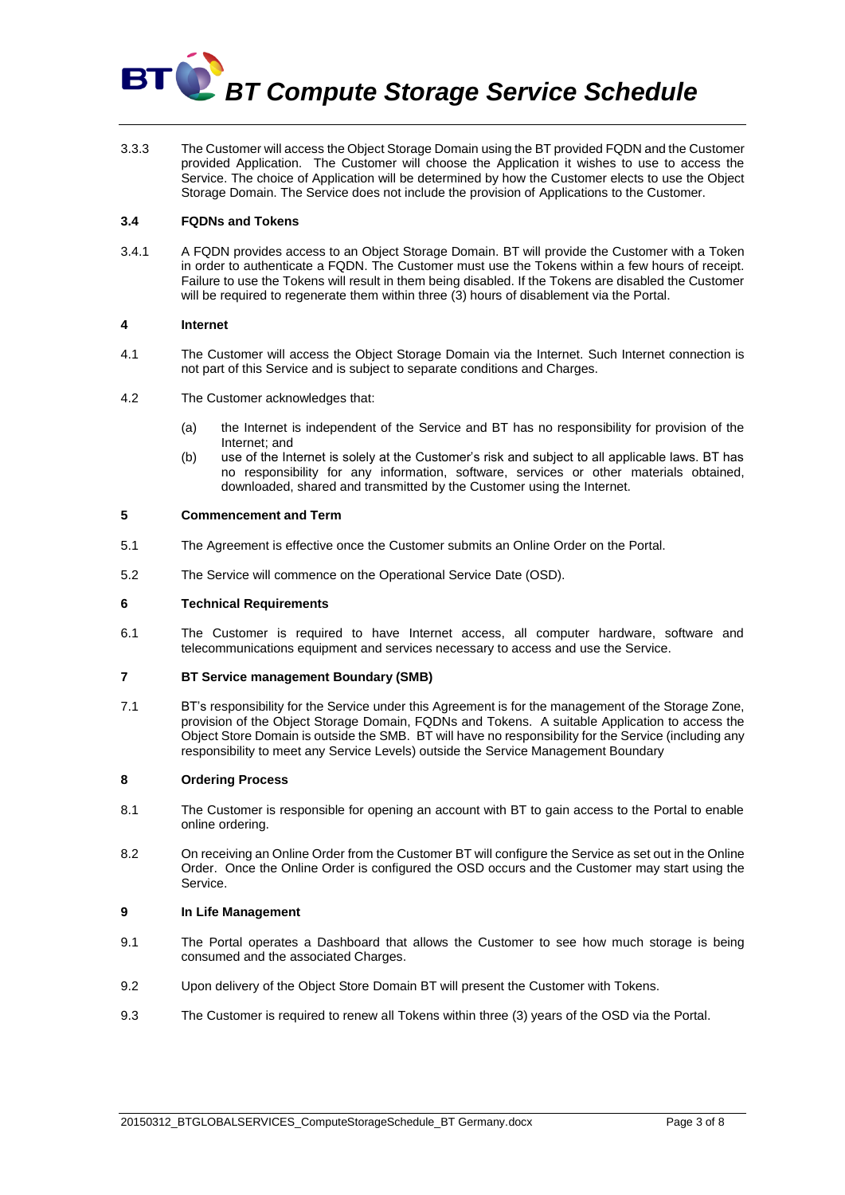

3.3.3 The Customer will access the Object Storage Domain using the BT provided FQDN and the Customer provided Application. The Customer will choose the Application it wishes to use to access the Service. The choice of Application will be determined by how the Customer elects to use the Object Storage Domain. The Service does not include the provision of Applications to the Customer.

# **3.4 FQDNs and Tokens**

3.4.1 A FQDN provides access to an Object Storage Domain. BT will provide the Customer with a Token in order to authenticate a FQDN. The Customer must use the Tokens within a few hours of receipt. Failure to use the Tokens will result in them being disabled. If the Tokens are disabled the Customer will be required to regenerate them within three (3) hours of disablement via the Portal.

### **4 Internet**

- 4.1 The Customer will access the Object Storage Domain via the Internet. Such Internet connection is not part of this Service and is subject to separate conditions and Charges.
- 4.2 The Customer acknowledges that:
	- (a) the Internet is independent of the Service and BT has no responsibility for provision of the Internet; and
	- (b) use of the Internet is solely at the Customer's risk and subject to all applicable laws. BT has no responsibility for any information, software, services or other materials obtained, downloaded, shared and transmitted by the Customer using the Internet.

### **5 Commencement and Term**

- 5.1 The Agreement is effective once the Customer submits an Online Order on the Portal.
- 5.2 The Service will commence on the Operational Service Date (OSD).

### **6 Technical Requirements**

6.1 The Customer is required to have Internet access, all computer hardware, software and telecommunications equipment and services necessary to access and use the Service.

### **7 BT Service management Boundary (SMB)**

7.1 BT's responsibility for the Service under this Agreement is for the management of the Storage Zone, provision of the Object Storage Domain, FQDNs and Tokens. A suitable Application to access the Object Store Domain is outside the SMB. BT will have no responsibility for the Service (including any responsibility to meet any Service Levels) outside the Service Management Boundary

#### **8 Ordering Process**

- 8.1 The Customer is responsible for opening an account with BT to gain access to the Portal to enable online ordering.
- 8.2 On receiving an Online Order from the Customer BT will configure the Service as set out in the Online Order. Once the Online Order is configured the OSD occurs and the Customer may start using the Service.

#### **9 In Life Management**

- 9.1 The Portal operates a Dashboard that allows the Customer to see how much storage is being consumed and the associated Charges.
- 9.2 Upon delivery of the Object Store Domain BT will present the Customer with Tokens.
- 9.3 The Customer is required to renew all Tokens within three (3) years of the OSD via the Portal.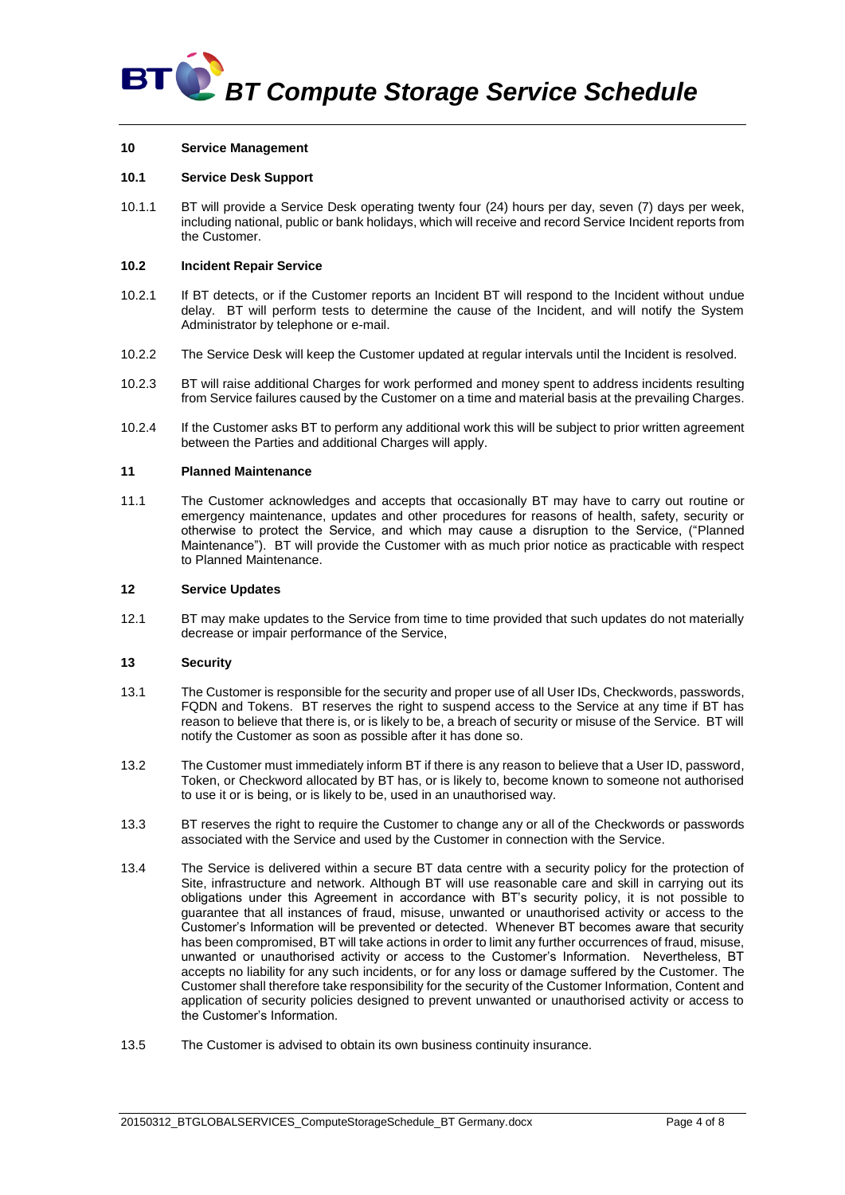

### **10 Service Management**

# **10.1 Service Desk Support**

10.1.1 BT will provide a Service Desk operating twenty four (24) hours per day, seven (7) days per week, including national, public or bank holidays, which will receive and record Service Incident reports from the Customer.

#### <span id="page-3-0"></span>**10.2 Incident Repair Service**

- 10.2.1 If BT detects, or if the Customer reports an Incident BT will respond to the Incident without undue delay. BT will perform tests to determine the cause of the Incident, and will notify the System Administrator by telephone or e-mail.
- 10.2.2 The Service Desk will keep the Customer updated at regular intervals until the Incident is resolved.
- 10.2.3 BT will raise additional Charges for work performed and money spent to address incidents resulting from Service failures caused by the Customer on a time and material basis at the prevailing Charges.
- 10.2.4 If the Customer asks BT to perform any additional work this will be subject to prior written agreement between the Parties and additional Charges will apply.

#### **11 Planned Maintenance**

11.1 The Customer acknowledges and accepts that occasionally BT may have to carry out routine or emergency maintenance, updates and other procedures for reasons of health, safety, security or otherwise to protect the Service, and which may cause a disruption to the Service, ("Planned Maintenance"). BT will provide the Customer with as much prior notice as practicable with respect to Planned Maintenance.

#### **12 Service Updates**

12.1 BT may make updates to the Service from time to time provided that such updates do not materially decrease or impair performance of the Service,

### **13 Security**

- 13.1 The Customer is responsible for the security and proper use of all User IDs, Checkwords, passwords, FQDN and Tokens. BT reserves the right to suspend access to the Service at any time if BT has reason to believe that there is, or is likely to be, a breach of security or misuse of the Service. BT will notify the Customer as soon as possible after it has done so.
- 13.2 The Customer must immediately inform BT if there is any reason to believe that a User ID, password, Token, or Checkword allocated by BT has, or is likely to, become known to someone not authorised to use it or is being, or is likely to be, used in an unauthorised way.
- 13.3 BT reserves the right to require the Customer to change any or all of the Checkwords or passwords associated with the Service and used by the Customer in connection with the Service.
- 13.4 The Service is delivered within a secure BT data centre with a security policy for the protection of Site, infrastructure and network. Although BT will use reasonable care and skill in carrying out its obligations under this Agreement in accordance with BT's security policy, it is not possible to guarantee that all instances of fraud, misuse, unwanted or unauthorised activity or access to the Customer's Information will be prevented or detected. Whenever BT becomes aware that security has been compromised, BT will take actions in order to limit any further occurrences of fraud, misuse, unwanted or unauthorised activity or access to the Customer's Information. Nevertheless, BT accepts no liability for any such incidents, or for any loss or damage suffered by the Customer. The Customer shall therefore take responsibility for the security of the Customer Information, Content and application of security policies designed to prevent unwanted or unauthorised activity or access to the Customer's Information.
- 13.5 The Customer is advised to obtain its own business continuity insurance.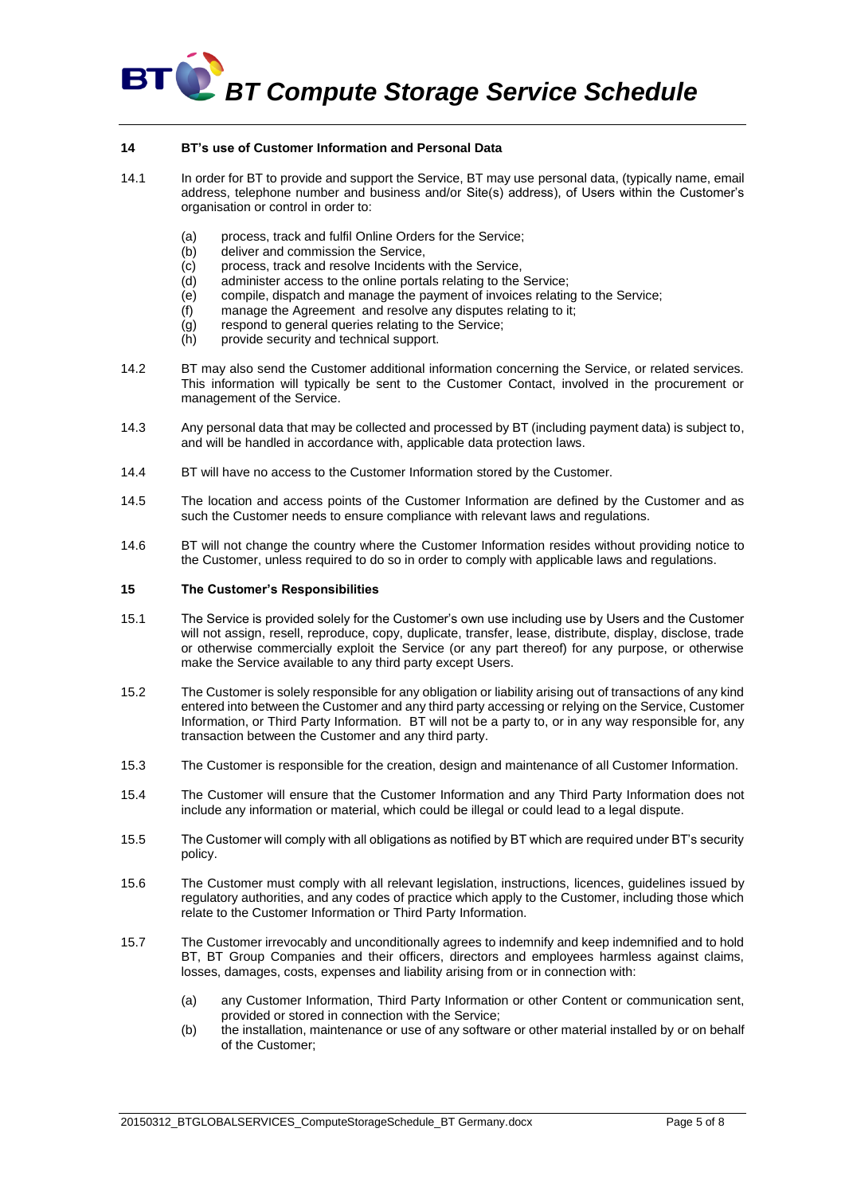

### **14 BT's use of Customer Information and Personal Data**

- 14.1 In order for BT to provide and support the Service, BT may use personal data, (typically name, email address, telephone number and business and/or Site(s) address), of Users within the Customer's organisation or control in order to:
	- (a) process, track and fulfil Online Orders for the Service;
	- (b) deliver and commission the Service,
	- (c) process, track and resolve Incidents with the Service,
	- (d) administer access to the online portals relating to the Service;
	- (e) compile, dispatch and manage the payment of invoices relating to the Service;
	- (f) manage the Agreement and resolve any disputes relating to it;
	- (g) respond to general queries relating to the Service;
	- (h) provide security and technical support.
- 14.2 BT may also send the Customer additional information concerning the Service, or related services. This information will typically be sent to the Customer Contact, involved in the procurement or management of the Service.
- 14.3 Any personal data that may be collected and processed by BT (including payment data) is subject to, and will be handled in accordance with, applicable data protection laws.
- 14.4 BT will have no access to the Customer Information stored by the Customer.
- 14.5 The location and access points of the Customer Information are defined by the Customer and as such the Customer needs to ensure compliance with relevant laws and regulations.
- 14.6 BT will not change the country where the Customer Information resides without providing notice to the Customer, unless required to do so in order to comply with applicable laws and regulations.

#### <span id="page-4-0"></span>**15 The Customer's Responsibilities**

- 15.1 The Service is provided solely for the Customer's own use including use by Users and the Customer will not assign, resell, reproduce, copy, duplicate, transfer, lease, distribute, display, disclose, trade or otherwise commercially exploit the Service (or any part thereof) for any purpose, or otherwise make the Service available to any third party except Users.
- 15.2 The Customer is solely responsible for any obligation or liability arising out of transactions of any kind entered into between the Customer and any third party accessing or relying on the Service, Customer Information, or Third Party Information. BT will not be a party to, or in any way responsible for, any transaction between the Customer and any third party.
- 15.3 The Customer is responsible for the creation, design and maintenance of all Customer Information.
- 15.4 The Customer will ensure that the Customer Information and any Third Party Information does not include any information or material, which could be illegal or could lead to a legal dispute.
- 15.5 The Customer will comply with all obligations as notified by BT which are required under BT's security policy.
- 15.6 The Customer must comply with all relevant legislation, instructions, licences, guidelines issued by regulatory authorities, and any codes of practice which apply to the Customer, including those which relate to the Customer Information or Third Party Information.
- 15.7 The Customer irrevocably and unconditionally agrees to indemnify and keep indemnified and to hold BT, BT Group Companies and their officers, directors and employees harmless against claims, losses, damages, costs, expenses and liability arising from or in connection with:
	- (a) any Customer Information, Third Party Information or other Content or communication sent, provided or stored in connection with the Service;
	- (b) the installation, maintenance or use of any software or other material installed by or on behalf of the Customer;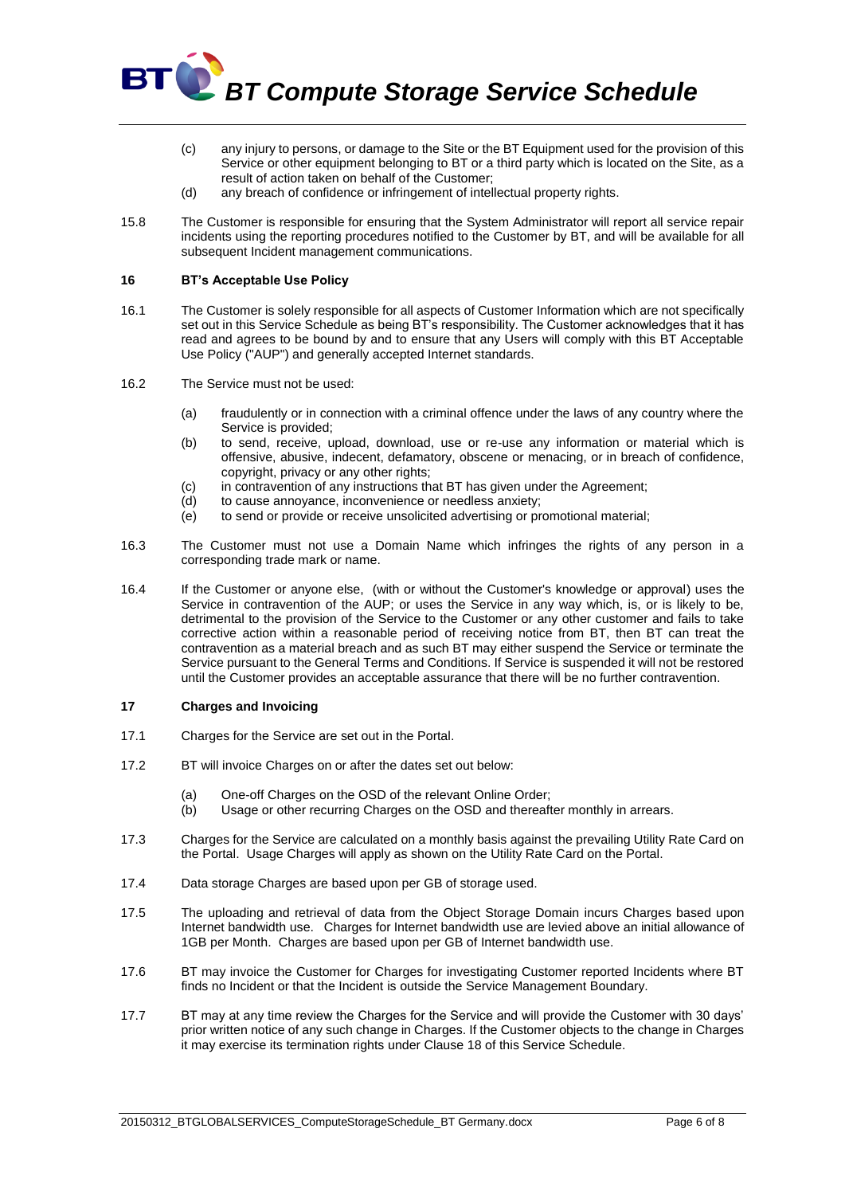

- (c) any injury to persons, or damage to the Site or the BT Equipment used for the provision of this Service or other equipment belonging to BT or a third party which is located on the Site, as a result of action taken on behalf of the Customer;
- (d) any breach of confidence or infringement of intellectual property rights.
- 15.8 The Customer is responsible for ensuring that the System Administrator will report all service repair incidents using the reporting procedures notified to the Customer by BT, and will be available for all subsequent Incident management communications.

### **16 BT's Acceptable Use Policy**

- 16.1 The Customer is solely responsible for all aspects of Customer Information which are not specifically set out in this Service Schedule as being BT's responsibility. The Customer acknowledges that it has read and agrees to be bound by and to ensure that any Users will comply with this BT Acceptable Use Policy ("AUP") and generally accepted Internet standards.
- 16.2 The Service must not be used:
	- (a) fraudulently or in connection with a criminal offence under the laws of any country where the Service is provided;
	- (b) to send, receive, upload, download, use or re-use any information or material which is offensive, abusive, indecent, defamatory, obscene or menacing, or in breach of confidence, copyright, privacy or any other rights;
	- (c) in contravention of any instructions that BT has given under the Agreement;
	- (d) to cause annoyance, inconvenience or needless anxiety;
	- (e) to send or provide or receive unsolicited advertising or promotional material;
- 16.3 The Customer must not use a Domain Name which infringes the rights of any person in a corresponding trade mark or name.
- 16.4 If the Customer or anyone else, (with or without the Customer's knowledge or approval) uses the Service in contravention of the AUP; or uses the Service in any way which, is, or is likely to be, detrimental to the provision of the Service to the Customer or any other customer and fails to take corrective action within a reasonable period of receiving notice from BT, then BT can treat the contravention as a material breach and as such BT may either suspend the Service or terminate the Service pursuant to the General Terms and Conditions. If Service is suspended it will not be restored until the Customer provides an acceptable assurance that there will be no further contravention.

# **17 Charges and Invoicing**

- 17.1 Charges for the Service are set out in the Portal.
- 17.2 BT will invoice Charges on or after the dates set out below:
	- (a) One-off Charges on the OSD of the relevant Online Order;
	- (b) Usage or other recurring Charges on the OSD and thereafter monthly in arrears.
- 17.3 Charges for the Service are calculated on a monthly basis against the prevailing Utility Rate Card on the Portal. Usage Charges will apply as shown on the Utility Rate Card on the Portal.
- 17.4 Data storage Charges are based upon per GB of storage used.
- 17.5 The uploading and retrieval of data from the Object Storage Domain incurs Charges based upon Internet bandwidth use. Charges for Internet bandwidth use are levied above an initial allowance of 1GB per Month. Charges are based upon per GB of Internet bandwidth use.
- 17.6 BT may invoice the Customer for Charges for investigating Customer reported Incidents where BT finds no Incident or that the Incident is outside the Service Management Boundary.
- 17.7 BT may at any time review the Charges for the Service and will provide the Customer with 30 days' prior written notice of any such change in Charges. If the Customer objects to the change in Charges it may exercise its termination rights under Clause 18 of this Service Schedule.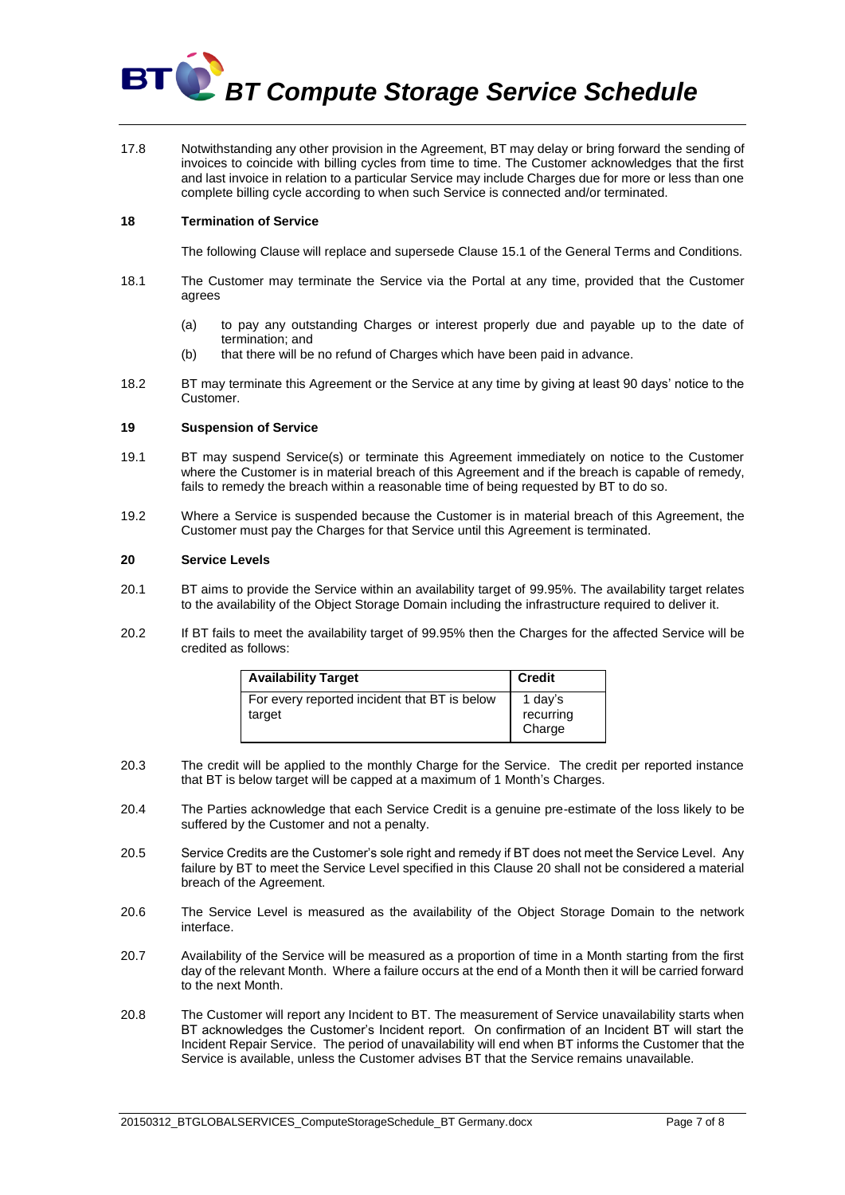

17.8 Notwithstanding any other provision in the Agreement, BT may delay or bring forward the sending of invoices to coincide with billing cycles from time to time. The Customer acknowledges that the first and last invoice in relation to a particular Service may include Charges due for more or less than one complete billing cycle according to when such Service is connected and/or terminated.

### **18 Termination of Service**

The following Clause will replace and supersede Clause 15.1 of the General Terms and Conditions.

- 18.1 The Customer may terminate the Service via the Portal at any time, provided that the Customer agrees
	- (a) to pay any outstanding Charges or interest properly due and payable up to the date of termination; and
	- (b) that there will be no refund of Charges which have been paid in advance.
- 18.2 BT may terminate this Agreement or the Service at any time by giving at least 90 days' notice to the Customer.

# **19 Suspension of Service**

- 19.1 BT may suspend Service(s) or terminate this Agreement immediately on notice to the Customer where the Customer is in material breach of this Agreement and if the breach is capable of remedy, fails to remedy the breach within a reasonable time of being requested by BT to do so.
- 19.2 Where a Service is suspended because the Customer is in material breach of this Agreement, the Customer must pay the Charges for that Service until this Agreement is terminated.

#### <span id="page-6-0"></span>**20 Service Levels**

- 20.1 BT aims to provide the Service within an availability target of 99.95%. The availability target relates to the availability of the Object Storage Domain including the infrastructure required to deliver it.
- 20.2 If BT fails to meet the availability target of 99.95% then the Charges for the affected Service will be credited as follows:

| <b>Availability Target</b>                             | <b>Credit</b>                  |
|--------------------------------------------------------|--------------------------------|
| For every reported incident that BT is below<br>target | 1 day's<br>recurring<br>Charge |

- 20.3 The credit will be applied to the monthly Charge for the Service. The credit per reported instance that BT is below target will be capped at a maximum of 1 Month's Charges.
- 20.4 The Parties acknowledge that each Service Credit is a genuine pre-estimate of the loss likely to be suffered by the Customer and not a penalty.
- 20.5 Service Credits are the Customer's sole right and remedy if BT does not meet the Service Level. Any failure by BT to meet the Service Level specified in this Clause [20](#page-6-0) shall not be considered a material breach of the Agreement.
- 20.6 The Service Level is measured as the availability of the Object Storage Domain to the network interface.
- 20.7 Availability of the Service will be measured as a proportion of time in a Month starting from the first day of the relevant Month. Where a failure occurs at the end of a Month then it will be carried forward to the next Month.
- 20.8 The Customer will report any Incident to BT. The measurement of Service unavailability starts when BT acknowledges the Customer's Incident report. On confirmation of an Incident BT will start the Incident Repair Service. The period of unavailability will end when BT informs the Customer that the Service is available, unless the Customer advises BT that the Service remains unavailable.